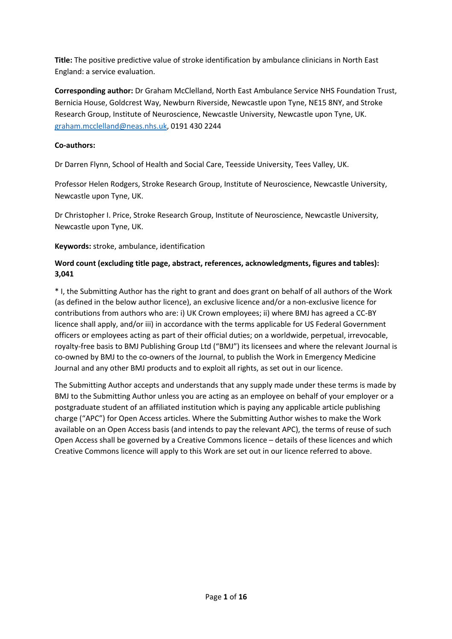**Title:** The positive predictive value of stroke identification by ambulance clinicians in North East England: a service evaluation.

**Corresponding author:** Dr Graham McClelland, North East Ambulance Service NHS Foundation Trust, Bernicia House, Goldcrest Way, Newburn Riverside, Newcastle upon Tyne, NE15 8NY, and Stroke Research Group, Institute of Neuroscience, Newcastle University, Newcastle upon Tyne, UK. graham.mcclelland@neas.nhs.uk, 0191 430 2244

# **Co-authors:**

Dr Darren Flynn, School of Health and Social Care, Teesside University, Tees Valley, UK.

Professor Helen Rodgers, Stroke Research Group, Institute of Neuroscience, Newcastle University, Newcastle upon Tyne, UK.

Dr Christopher I. Price, Stroke Research Group, Institute of Neuroscience, Newcastle University, Newcastle upon Tyne, UK.

**Keywords:** stroke, ambulance, identification

# **Word count (excluding title page, abstract, references, acknowledgments, figures and tables): 3,041**

\* I, the Submitting Author has the right to grant and does grant on behalf of all authors of the Work (as defined in the below author licence), an exclusive licence and/or a non-exclusive licence for contributions from authors who are: i) UK Crown employees; ii) where BMJ has agreed a CC-BY licence shall apply, and/or iii) in accordance with the terms applicable for US Federal Government officers or employees acting as part of their official duties; on a worldwide, perpetual, irrevocable, royalty-free basis to BMJ Publishing Group Ltd ("BMJ") its licensees and where the relevant Journal is co-owned by BMJ to the co-owners of the Journal, to publish the Work in Emergency Medicine Journal and any other BMJ products and to exploit all rights, as set out in our licence.

The Submitting Author accepts and understands that any supply made under these terms is made by BMJ to the Submitting Author unless you are acting as an employee on behalf of your employer or a postgraduate student of an affiliated institution which is paying any applicable article publishing charge ("APC") for Open Access articles. Where the Submitting Author wishes to make the Work available on an Open Access basis (and intends to pay the relevant APC), the terms of reuse of such Open Access shall be governed by a Creative Commons licence – details of these licences and which Creative Commons licence will apply to this Work are set out in our licence referred to above.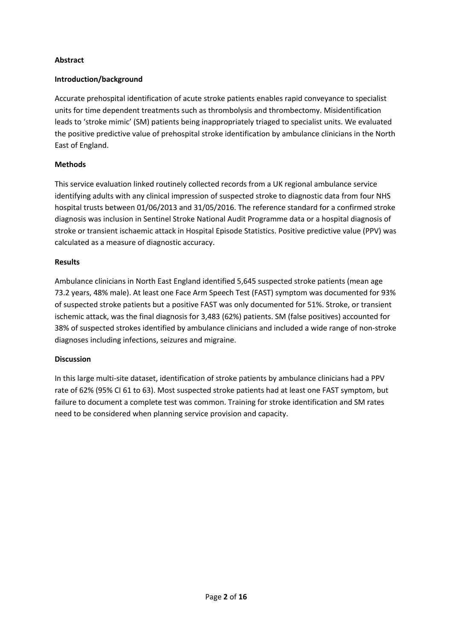## **Abstract**

### **Introduction/background**

Accurate prehospital identification of acute stroke patients enables rapid conveyance to specialist units for time dependent treatments such as thrombolysis and thrombectomy. Misidentification leads to 'stroke mimic' (SM) patients being inappropriately triaged to specialist units. We evaluated the positive predictive value of prehospital stroke identification by ambulance clinicians in the North East of England.

### **Methods**

This service evaluation linked routinely collected records from a UK regional ambulance service identifying adults with any clinical impression of suspected stroke to diagnostic data from four NHS hospital trusts between 01/06/2013 and 31/05/2016. The reference standard for a confirmed stroke diagnosis was inclusion in Sentinel Stroke National Audit Programme data or a hospital diagnosis of stroke or transient ischaemic attack in Hospital Episode Statistics. Positive predictive value (PPV) was calculated as a measure of diagnostic accuracy.

#### **Results**

Ambulance clinicians in North East England identified 5,645 suspected stroke patients (mean age 73.2 years, 48% male). At least one Face Arm Speech Test (FAST) symptom was documented for 93% of suspected stroke patients but a positive FAST was only documented for 51%. Stroke, or transient ischemic attack, was the final diagnosis for 3,483 (62%) patients. SM (false positives) accounted for 38% of suspected strokes identified by ambulance clinicians and included a wide range of non-stroke diagnoses including infections, seizures and migraine.

#### **Discussion**

In this large multi-site dataset, identification of stroke patients by ambulance clinicians had a PPV rate of 62% (95% CI 61 to 63). Most suspected stroke patients had at least one FAST symptom, but failure to document a complete test was common. Training for stroke identification and SM rates need to be considered when planning service provision and capacity.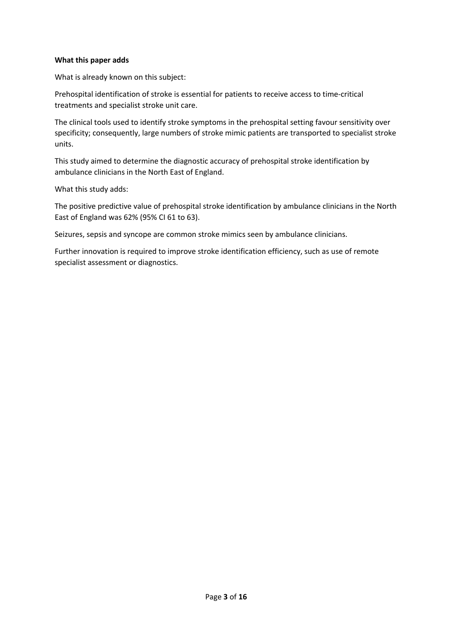#### **What this paper adds**

What is already known on this subject:

Prehospital identification of stroke is essential for patients to receive access to time-critical treatments and specialist stroke unit care.

The clinical tools used to identify stroke symptoms in the prehospital setting favour sensitivity over specificity; consequently, large numbers of stroke mimic patients are transported to specialist stroke units.

This study aimed to determine the diagnostic accuracy of prehospital stroke identification by ambulance clinicians in the North East of England.

What this study adds:

The positive predictive value of prehospital stroke identification by ambulance clinicians in the North East of England was 62% (95% CI 61 to 63).

Seizures, sepsis and syncope are common stroke mimics seen by ambulance clinicians.

Further innovation is required to improve stroke identification efficiency, such as use of remote specialist assessment or diagnostics.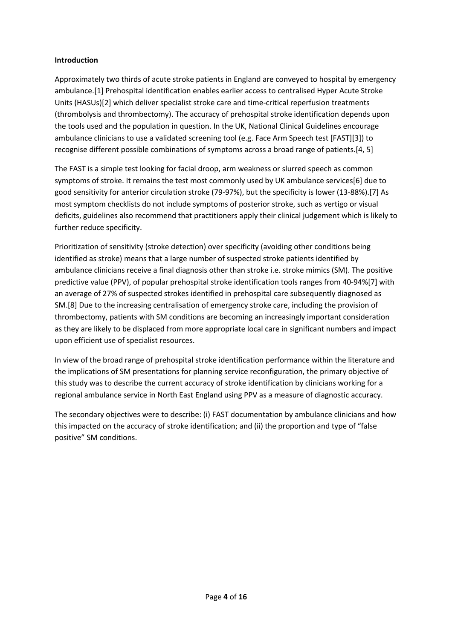### **Introduction**

Approximately two thirds of acute stroke patients in England are conveyed to hospital by emergency ambulance.[1] Prehospital identification enables earlier access to centralised Hyper Acute Stroke Units (HASUs)[2] which deliver specialist stroke care and time-critical reperfusion treatments (thrombolysis and thrombectomy). The accuracy of prehospital stroke identification depends upon the tools used and the population in question. In the UK, National Clinical Guidelines encourage ambulance clinicians to use a validated screening tool (e.g. Face Arm Speech test [FAST][3]) to recognise different possible combinations of symptoms across a broad range of patients.[4, 5]

The FAST is a simple test looking for facial droop, arm weakness or slurred speech as common symptoms of stroke. It remains the test most commonly used by UK ambulance services[6] due to good sensitivity for anterior circulation stroke (79-97%), but the specificity is lower (13-88%).[7] As most symptom checklists do not include symptoms of posterior stroke, such as vertigo or visual deficits, guidelines also recommend that practitioners apply their clinical judgement which is likely to further reduce specificity.

Prioritization of sensitivity (stroke detection) over specificity (avoiding other conditions being identified as stroke) means that a large number of suspected stroke patients identified by ambulance clinicians receive a final diagnosis other than stroke i.e. stroke mimics (SM). The positive predictive value (PPV), of popular prehospital stroke identification tools ranges from 40-94%[7] with an average of 27% of suspected strokes identified in prehospital care subsequently diagnosed as SM.[8] Due to the increasing centralisation of emergency stroke care, including the provision of thrombectomy, patients with SM conditions are becoming an increasingly important consideration as they are likely to be displaced from more appropriate local care in significant numbers and impact upon efficient use of specialist resources.

In view of the broad range of prehospital stroke identification performance within the literature and the implications of SM presentations for planning service reconfiguration, the primary objective of this study was to describe the current accuracy of stroke identification by clinicians working for a regional ambulance service in North East England using PPV as a measure of diagnostic accuracy.

The secondary objectives were to describe: (i) FAST documentation by ambulance clinicians and how this impacted on the accuracy of stroke identification; and (ii) the proportion and type of "false positive" SM conditions.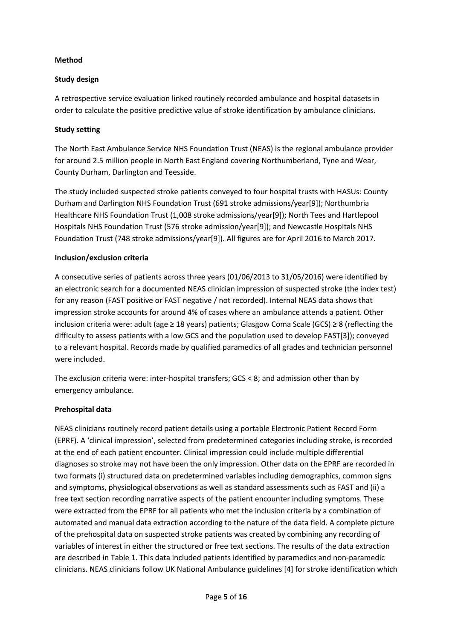## **Method**

# **Study design**

A retrospective service evaluation linked routinely recorded ambulance and hospital datasets in order to calculate the positive predictive value of stroke identification by ambulance clinicians.

# **Study setting**

The North East Ambulance Service NHS Foundation Trust (NEAS) is the regional ambulance provider for around 2.5 million people in North East England covering Northumberland, Tyne and Wear, County Durham, Darlington and Teesside.

The study included suspected stroke patients conveyed to four hospital trusts with HASUs: County Durham and Darlington NHS Foundation Trust (691 stroke admissions/year[9]); Northumbria Healthcare NHS Foundation Trust (1,008 stroke admissions/year[9]); North Tees and Hartlepool Hospitals NHS Foundation Trust (576 stroke admission/year[9]); and Newcastle Hospitals NHS Foundation Trust (748 stroke admissions/year[9]). All figures are for April 2016 to March 2017.

# **Inclusion/exclusion criteria**

A consecutive series of patients across three years (01/06/2013 to 31/05/2016) were identified by an electronic search for a documented NEAS clinician impression of suspected stroke (the index test) for any reason (FAST positive or FAST negative / not recorded). Internal NEAS data shows that impression stroke accounts for around 4% of cases where an ambulance attends a patient. Other inclusion criteria were: adult (age ≥ 18 years) patients; Glasgow Coma Scale (GCS) ≥ 8 (reflecting the difficulty to assess patients with a low GCS and the population used to develop FAST[3]); conveyed to a relevant hospital. Records made by qualified paramedics of all grades and technician personnel were included.

The exclusion criteria were: inter-hospital transfers; GCS < 8; and admission other than by emergency ambulance.

## **Prehospital data**

NEAS clinicians routinely record patient details using a portable Electronic Patient Record Form (EPRF). A 'clinical impression', selected from predetermined categories including stroke, is recorded at the end of each patient encounter. Clinical impression could include multiple differential diagnoses so stroke may not have been the only impression. Other data on the EPRF are recorded in two formats (i) structured data on predetermined variables including demographics, common signs and symptoms, physiological observations as well as standard assessments such as FAST and (ii) a free text section recording narrative aspects of the patient encounter including symptoms. These were extracted from the EPRF for all patients who met the inclusion criteria by a combination of automated and manual data extraction according to the nature of the data field. A complete picture of the prehospital data on suspected stroke patients was created by combining any recording of variables of interest in either the structured or free text sections. The results of the data extraction are described in Table 1. This data included patients identified by paramedics and non-paramedic clinicians. NEAS clinicians follow UK National Ambulance guidelines [4] for stroke identification which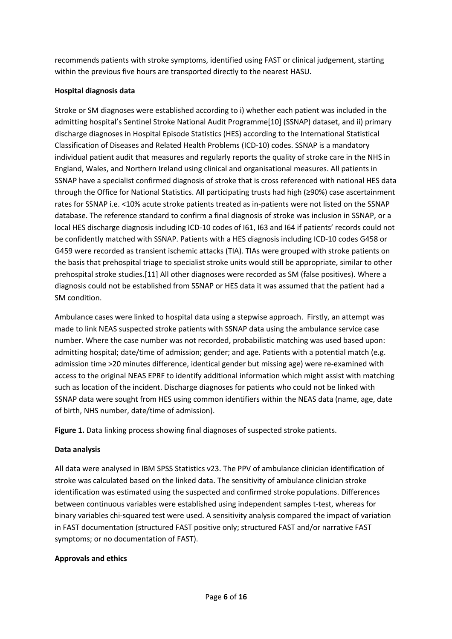recommends patients with stroke symptoms, identified using FAST or clinical judgement, starting within the previous five hours are transported directly to the nearest HASU.

# **Hospital diagnosis data**

Stroke or SM diagnoses were established according to i) whether each patient was included in the admitting hospital's Sentinel Stroke National Audit Programme[10] (SSNAP) dataset, and ii) primary discharge diagnoses in Hospital Episode Statistics (HES) according to the International Statistical Classification of Diseases and Related Health Problems (ICD-10) codes. SSNAP is a mandatory individual patient audit that measures and regularly reports the quality of stroke care in the NHS in England, Wales, and Northern Ireland using clinical and organisational measures. All patients in SSNAP have a specialist confirmed diagnosis of stroke that is cross referenced with national HES data through the Office for National Statistics. All participating trusts had high (≥90%) case ascertainment rates for SSNAP i.e. <10% acute stroke patients treated as in-patients were not listed on the SSNAP database. The reference standard to confirm a final diagnosis of stroke was inclusion in SSNAP, or a local HES discharge diagnosis including ICD-10 codes of I61, I63 and I64 if patients' records could not be confidently matched with SSNAP. Patients with a HES diagnosis including ICD-10 codes G458 or G459 were recorded as transient ischemic attacks (TIA). TIAs were grouped with stroke patients on the basis that prehospital triage to specialist stroke units would still be appropriate, similar to other prehospital stroke studies.[11] All other diagnoses were recorded as SM (false positives). Where a diagnosis could not be established from SSNAP or HES data it was assumed that the patient had a SM condition.

Ambulance cases were linked to hospital data using a stepwise approach. Firstly, an attempt was made to link NEAS suspected stroke patients with SSNAP data using the ambulance service case number. Where the case number was not recorded, probabilistic matching was used based upon: admitting hospital; date/time of admission; gender; and age. Patients with a potential match (e.g. admission time >20 minutes difference, identical gender but missing age) were re-examined with access to the original NEAS EPRF to identify additional information which might assist with matching such as location of the incident. Discharge diagnoses for patients who could not be linked with SSNAP data were sought from HES using common identifiers within the NEAS data (name, age, date of birth, NHS number, date/time of admission).

**Figure 1.** Data linking process showing final diagnoses of suspected stroke patients.

## **Data analysis**

All data were analysed in IBM SPSS Statistics v23. The PPV of ambulance clinician identification of stroke was calculated based on the linked data. The sensitivity of ambulance clinician stroke identification was estimated using the suspected and confirmed stroke populations. Differences between continuous variables were established using independent samples t-test, whereas for binary variables chi-squared test were used. A sensitivity analysis compared the impact of variation in FAST documentation (structured FAST positive only; structured FAST and/or narrative FAST symptoms; or no documentation of FAST).

## **Approvals and ethics**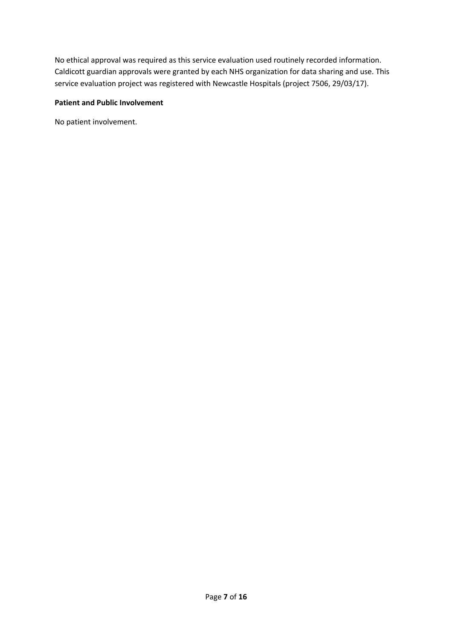No ethical approval was required as this service evaluation used routinely recorded information. Caldicott guardian approvals were granted by each NHS organization for data sharing and use. This service evaluation project was registered with Newcastle Hospitals (project 7506, 29/03/17).

## **Patient and Public Involvement**

No patient involvement.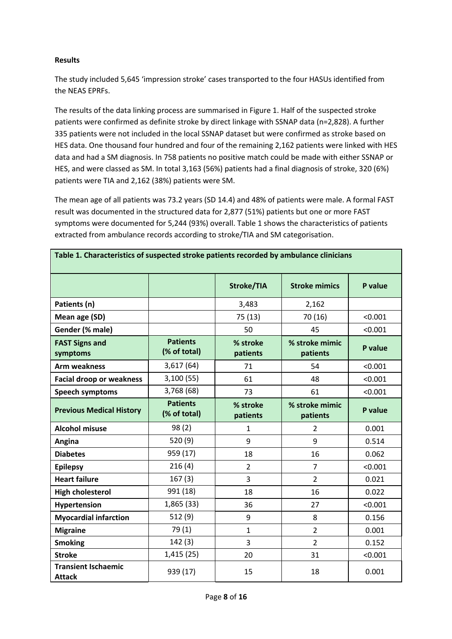## **Results**

The study included 5,645 'impression stroke' cases transported to the four HASUs identified from the NEAS EPRFs.

The results of the data linking process are summarised in Figure 1. Half of the suspected stroke patients were confirmed as definite stroke by direct linkage with SSNAP data (n=2,828). A further 335 patients were not included in the local SSNAP dataset but were confirmed as stroke based on HES data. One thousand four hundred and four of the remaining 2,162 patients were linked with HES data and had a SM diagnosis. In 758 patients no positive match could be made with either SSNAP or HES, and were classed as SM. In total 3,163 (56%) patients had a final diagnosis of stroke, 320 (6%) patients were TIA and 2,162 (38%) patients were SM.

The mean age of all patients was 73.2 years (SD 14.4) and 48% of patients were male. A formal FAST result was documented in the structured data for 2,877 (51%) patients but one or more FAST symptoms were documented for 5,244 (93%) overall. Table 1 shows the characteristics of patients extracted from ambulance records according to stroke/TIA and SM categorisation.

**Table 1. Characteristics of suspected stroke patients recorded by ambulance clinicians**

|                                             |                                 | <b>Stroke/TIA</b>    | <b>Stroke mimics</b>       | P value |  |  |
|---------------------------------------------|---------------------------------|----------------------|----------------------------|---------|--|--|
| Patients (n)                                |                                 | 3,483                | 2,162                      |         |  |  |
| Mean age (SD)                               |                                 | 75 (13)              | 70 (16)                    | < 0.001 |  |  |
| Gender (% male)                             |                                 | 50                   | 45                         | < 0.001 |  |  |
| <b>FAST Signs and</b><br>symptoms           | <b>Patients</b><br>(% of total) | % stroke<br>patients | % stroke mimic<br>patients | P value |  |  |
| <b>Arm weakness</b>                         | 3,617(64)                       | 71                   | 54                         | < 0.001 |  |  |
| <b>Facial droop or weakness</b>             | 3,100(55)                       | 61                   | 48                         | < 0.001 |  |  |
| <b>Speech symptoms</b>                      | 3,768 (68)                      | 73                   | 61                         | < 0.001 |  |  |
| <b>Previous Medical History</b>             | <b>Patients</b><br>(% of total) | % stroke<br>patients | % stroke mimic<br>patients | P value |  |  |
| <b>Alcohol misuse</b>                       | 98(2)                           | $\mathbf{1}$         | $\overline{2}$             | 0.001   |  |  |
| Angina                                      | 520 (9)                         | 9                    | 9                          | 0.514   |  |  |
| <b>Diabetes</b>                             | 959 (17)                        | 18                   | 16                         | 0.062   |  |  |
| <b>Epilepsy</b>                             | 216(4)                          | $\overline{2}$       | $\overline{7}$             | < 0.001 |  |  |
| <b>Heart failure</b>                        | 167(3)                          | 3                    | $\overline{2}$             | 0.021   |  |  |
| <b>High cholesterol</b>                     | 991 (18)                        | 18                   | 16                         | 0.022   |  |  |
| Hypertension                                | 1,865 (33)                      | 36                   | 27                         | < 0.001 |  |  |
| <b>Myocardial infarction</b>                | 512 (9)                         | 9                    | 8                          | 0.156   |  |  |
| <b>Migraine</b>                             | 79(1)                           | $\mathbf{1}$         | $\overline{2}$             | 0.001   |  |  |
| <b>Smoking</b>                              | 142(3)                          | 3                    | $\overline{2}$             | 0.152   |  |  |
| <b>Stroke</b>                               | 1,415(25)                       | 20                   | 31                         | < 0.001 |  |  |
| <b>Transient Ischaemic</b><br><b>Attack</b> | 939 (17)                        | 15                   | 18                         | 0.001   |  |  |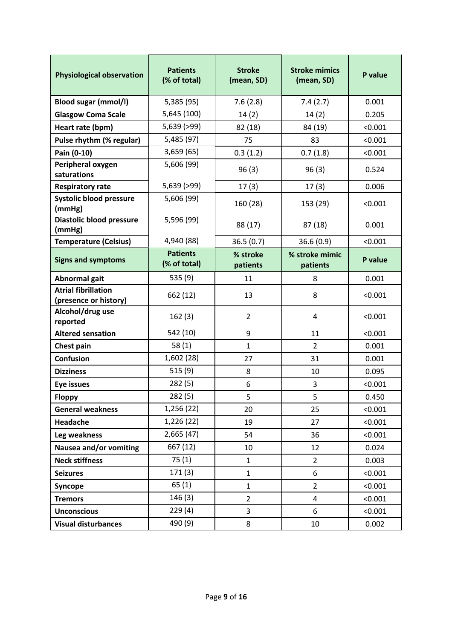| <b>Physiological observation</b>                    | <b>Patients</b><br>(% of total) | <b>Stroke</b><br>(mean, SD) | <b>Stroke mimics</b><br>(mean, SD) | P value |
|-----------------------------------------------------|---------------------------------|-----------------------------|------------------------------------|---------|
| <b>Blood sugar (mmol/l)</b>                         | 5,385 (95)                      | 7.6(2.8)                    | 7.4(2.7)                           | 0.001   |
| <b>Glasgow Coma Scale</b>                           | 5,645 (100)                     | 14(2)                       | 14(2)                              | 0.205   |
| Heart rate (bpm)                                    | 5,639 (>99)                     | 82 (18)                     | 84 (19)                            | < 0.001 |
| Pulse rhythm (% regular)                            | 5,485 (97)                      | 75                          | 83                                 | < 0.001 |
| Pain (0-10)                                         | 3,659(65)                       | 0.3(1.2)                    | 0.7(1.8)                           | < 0.001 |
| Peripheral oxygen<br>saturations                    | 5,606 (99)                      | 96(3)                       | 96(3)                              | 0.524   |
| <b>Respiratory rate</b>                             | 5,639 (>99)                     | 17(3)                       | 17(3)                              | 0.006   |
| <b>Systolic blood pressure</b><br>(mmHg)            | 5,606 (99)                      | 160 (28)                    | 153 (29)                           | < 0.001 |
| Diastolic blood pressure<br>(mmHg)                  | 5,596 (99)                      | 88 (17)                     | 87(18)                             | 0.001   |
| <b>Temperature (Celsius)</b>                        | 4,940 (88)                      | 36.5(0.7)                   | 36.6(0.9)                          | < 0.001 |
| <b>Signs and symptoms</b>                           | <b>Patients</b><br>(% of total) | % stroke<br>patients        | % stroke mimic<br>patients         | P value |
| Abnormal gait                                       | 535 (9)                         | 11                          | 8                                  | 0.001   |
| <b>Atrial fibrillation</b><br>(presence or history) | 662 (12)                        | 13                          | 8                                  | < 0.001 |
| Alcohol/drug use<br>reported                        | 162(3)                          | $\overline{2}$              | 4                                  | < 0.001 |
| <b>Altered sensation</b>                            | 542 (10)                        | 9                           | 11                                 | < 0.001 |
| Chest pain                                          | 58(1)                           | $\mathbf{1}$                | $\overline{2}$                     | 0.001   |
| Confusion                                           | 1,602 (28)                      | 27                          | 31                                 | 0.001   |
| <b>Dizziness</b>                                    | 515(9)                          | 8                           | 10                                 | 0.095   |
| <b>Eye issues</b>                                   | 282(5)                          | 6                           | 3                                  | < 0.001 |
| <b>Floppy</b>                                       | 282(5)                          | 5                           | 5                                  | 0.450   |
| <b>General weakness</b>                             | 1,256 (22)                      | 20                          | 25                                 | < 0.001 |
| Headache                                            | 1,226 (22)                      | 19                          | 27                                 | < 0.001 |
| Leg weakness                                        | 2,665 (47)                      | 54                          | 36                                 | < 0.001 |
| Nausea and/or vomiting                              | 667 (12)                        | 10                          | 12                                 | 0.024   |
| <b>Neck stiffness</b>                               | 75(1)                           | $\mathbf{1}$                | $\overline{2}$                     | 0.003   |
| <b>Seizures</b>                                     | 171(3)                          | $\mathbf{1}$                | 6                                  | < 0.001 |
| Syncope                                             | 65(1)                           | $\mathbf{1}$                | $\overline{2}$                     | < 0.001 |
| <b>Tremors</b>                                      | 146(3)                          | $\overline{2}$              | 4                                  | < 0.001 |
| <b>Unconscious</b>                                  | 229(4)                          | 3                           | 6                                  | < 0.001 |
| <b>Visual disturbances</b>                          | 490 (9)                         | 8                           | 10                                 | 0.002   |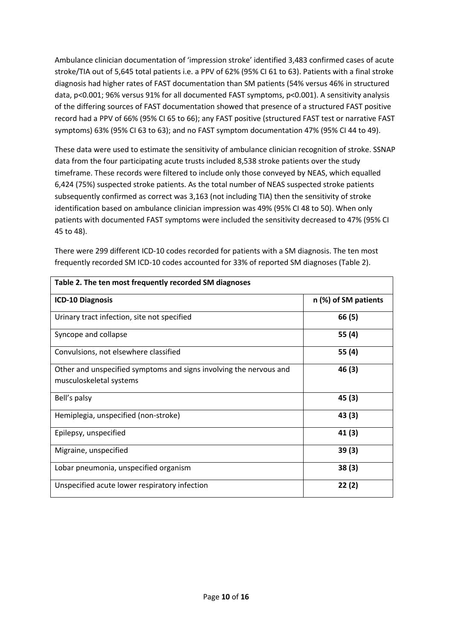Ambulance clinician documentation of 'impression stroke' identified 3,483 confirmed cases of acute stroke/TIA out of 5,645 total patients i.e. a PPV of 62% (95% CI 61 to 63). Patients with a final stroke diagnosis had higher rates of FAST documentation than SM patients (54% versus 46% in structured data, p<0.001; 96% versus 91% for all documented FAST symptoms, p<0.001). A sensitivity analysis of the differing sources of FAST documentation showed that presence of a structured FAST positive record had a PPV of 66% (95% CI 65 to 66); any FAST positive (structured FAST test or narrative FAST symptoms) 63% (95% CI 63 to 63); and no FAST symptom documentation 47% (95% CI 44 to 49).

These data were used to estimate the sensitivity of ambulance clinician recognition of stroke. SSNAP data from the four participating acute trusts included 8,538 stroke patients over the study timeframe. These records were filtered to include only those conveyed by NEAS, which equalled 6,424 (75%) suspected stroke patients. As the total number of NEAS suspected stroke patients subsequently confirmed as correct was 3,163 (not including TIA) then the sensitivity of stroke identification based on ambulance clinician impression was 49% (95% CI 48 to 50). When only patients with documented FAST symptoms were included the sensitivity decreased to 47% (95% CI 45 to 48).

| Table 2. The ten most frequently recorded SM diagnoses                                        |                      |  |  |  |  |
|-----------------------------------------------------------------------------------------------|----------------------|--|--|--|--|
| <b>ICD-10 Diagnosis</b>                                                                       | n (%) of SM patients |  |  |  |  |
| Urinary tract infection, site not specified                                                   | 66 (5)               |  |  |  |  |
| Syncope and collapse                                                                          | 55 (4)               |  |  |  |  |
| Convulsions, not elsewhere classified                                                         | 55 (4)               |  |  |  |  |
| Other and unspecified symptoms and signs involving the nervous and<br>musculoskeletal systems | 46 (3)               |  |  |  |  |
| Bell's palsy                                                                                  | 45 (3)               |  |  |  |  |
| Hemiplegia, unspecified (non-stroke)                                                          | 43(3)                |  |  |  |  |
| Epilepsy, unspecified                                                                         | 41(3)                |  |  |  |  |
| Migraine, unspecified                                                                         | 39(3)                |  |  |  |  |
| Lobar pneumonia, unspecified organism                                                         | 38(3)                |  |  |  |  |
| Unspecified acute lower respiratory infection                                                 | 22 (2)               |  |  |  |  |

There were 299 different ICD-10 codes recorded for patients with a SM diagnosis. The ten most frequently recorded SM ICD-10 codes accounted for 33% of reported SM diagnoses (Table 2).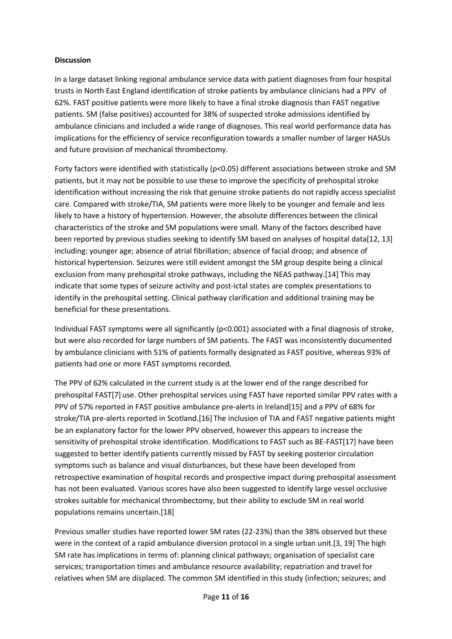### **Discussion**

In a large dataset linking regional ambulance service data with patient diagnoses from four hospital trusts in North East England identification of stroke patients by ambulance clinicians had a PPV of 62%. FAST positive patients were more likely to have a final stroke diagnosis than FAST negative patients. SM (false positives) accounted for 38% of suspected stroke admissions identified by ambulance clinicians and included a wide range of diagnoses. This real world performance data has implications for the efficiency of service reconfiguration towards a smaller number of larger HASUs and future provision of mechanical thrombectomy.

Forty factors were identified with statistically (p<0.05) different associations between stroke and SM patients, but it may not be possible to use these to improve the specificity of prehospital stroke identification without increasing the risk that genuine stroke patients do not rapidly access specialist care. Compared with stroke/TIA, SM patients were more likely to be younger and female and less likely to have a history of hypertension. However, the absolute differences between the clinical characteristics of the stroke and SM populations were small. Many of the factors described have been reported by previous studies seeking to identify SM based on analyses of hospital data[12, 13] including: younger age; absence of atrial fibrillation; absence of facial droop; and absence of historical hypertension. Seizures were still evident amongst the SM group despite being a clinical exclusion from many prehospital stroke pathways, including the NEAS pathway.[14] This may indicate that some types of seizure activity and post-ictal states are complex presentations to identify in the prehospital setting. Clinical pathway clarification and additional training may be beneficial for these presentations.

Individual FAST symptoms were all significantly (p<0.001) associated with a final diagnosis of stroke, but were also recorded for large numbers of SM patients. The FAST was inconsistently documented by ambulance clinicians with 51% of patients formally designated as FAST positive, whereas 93% of patients had one or more FAST symptoms recorded.

The PPV of 62% calculated in the current study is at the lower end of the range described for prehospital FAST[7] use. Other prehospital services using FAST have reported similar PPV rates with a PPV of 57% reported in FAST positive ambulance pre-alerts in Ireland[15] and a PPV of 68% for stroke/TIA pre-alerts reported in Scotland.[16] The inclusion of TIA and FAST negative patients might be an explanatory factor for the lower PPV observed, however this appears to increase the sensitivity of prehospital stroke identification. Modifications to FAST such as BE-FAST[17] have been suggested to better identify patients currently missed by FAST by seeking posterior circulation symptoms such as balance and visual disturbances, but these have been developed from retrospective examination of hospital records and prospective impact during prehospital assessment has not been evaluated. Various scores have also been suggested to identify large vessel occlusive strokes suitable for mechanical thrombectomy, but their ability to exclude SM in real world populations remains uncertain.[18]

Previous smaller studies have reported lower SM rates (22-23%) than the 38% observed but these were in the context of a rapid ambulance diversion protocol in a single urban unit.[3, 19] The high SM rate has implications in terms of: planning clinical pathways; organisation of specialist care services; transportation times and ambulance resource availability; repatriation and travel for relatives when SM are displaced. The common SM identified in this study (infection; seizures; and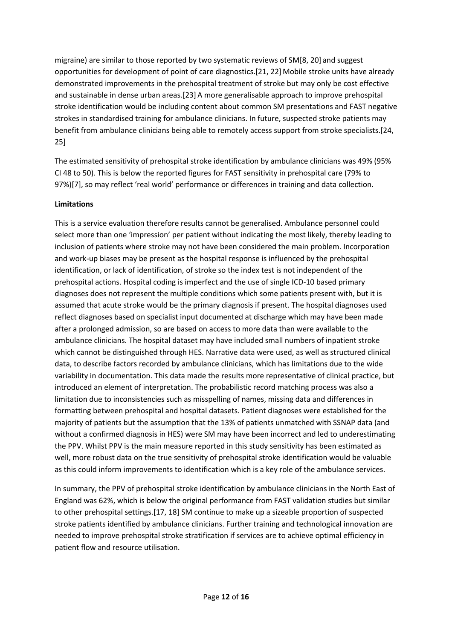migraine) are similar to those reported by two systematic reviews of SM[8, 20] and suggest opportunities for development of point of care diagnostics.[21, 22] Mobile stroke units have already demonstrated improvements in the prehospital treatment of stroke but may only be cost effective and sustainable in dense urban areas.[23]A more generalisable approach to improve prehospital stroke identification would be including content about common SM presentations and FAST negative strokes in standardised training for ambulance clinicians. In future, suspected stroke patients may benefit from ambulance clinicians being able to remotely access support from stroke specialists.[24, 25]

The estimated sensitivity of prehospital stroke identification by ambulance clinicians was 49% (95% CI 48 to 50). This is below the reported figures for FAST sensitivity in prehospital care (79% to 97%)[7], so may reflect 'real world' performance or differences in training and data collection.

#### **Limitations**

This is a service evaluation therefore results cannot be generalised. Ambulance personnel could select more than one 'impression' per patient without indicating the most likely, thereby leading to inclusion of patients where stroke may not have been considered the main problem. Incorporation and work-up biases may be present as the hospital response is influenced by the prehospital identification, or lack of identification, of stroke so the index test is not independent of the prehospital actions. Hospital coding is imperfect and the use of single ICD-10 based primary diagnoses does not represent the multiple conditions which some patients present with, but it is assumed that acute stroke would be the primary diagnosis if present. The hospital diagnoses used reflect diagnoses based on specialist input documented at discharge which may have been made after a prolonged admission, so are based on access to more data than were available to the ambulance clinicians. The hospital dataset may have included small numbers of inpatient stroke which cannot be distinguished through HES. Narrative data were used, as well as structured clinical data, to describe factors recorded by ambulance clinicians, which has limitations due to the wide variability in documentation. This data made the results more representative of clinical practice, but introduced an element of interpretation. The probabilistic record matching process was also a limitation due to inconsistencies such as misspelling of names, missing data and differences in formatting between prehospital and hospital datasets. Patient diagnoses were established for the majority of patients but the assumption that the 13% of patients unmatched with SSNAP data (and without a confirmed diagnosis in HES) were SM may have been incorrect and led to underestimating the PPV. Whilst PPV is the main measure reported in this study sensitivity has been estimated as well, more robust data on the true sensitivity of prehospital stroke identification would be valuable as this could inform improvements to identification which is a key role of the ambulance services.

In summary, the PPV of prehospital stroke identification by ambulance clinicians in the North East of England was 62%, which is below the original performance from FAST validation studies but similar to other prehospital settings.[17, 18] SM continue to make up a sizeable proportion of suspected stroke patients identified by ambulance clinicians. Further training and technological innovation are needed to improve prehospital stroke stratification if services are to achieve optimal efficiency in patient flow and resource utilisation.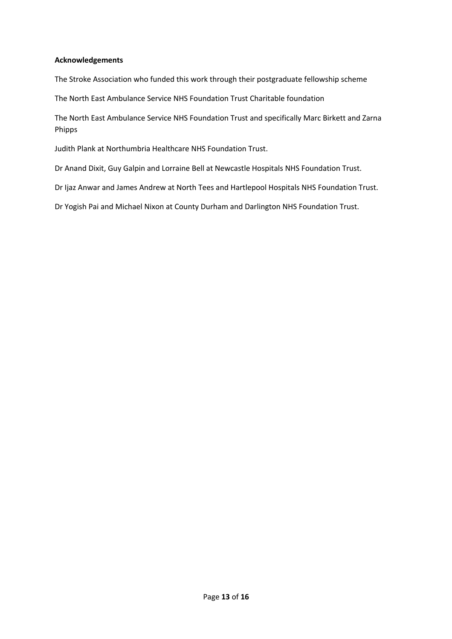#### **Acknowledgements**

The Stroke Association who funded this work through their postgraduate fellowship scheme

The North East Ambulance Service NHS Foundation Trust Charitable foundation

The North East Ambulance Service NHS Foundation Trust and specifically Marc Birkett and Zarna Phipps

Judith Plank at Northumbria Healthcare NHS Foundation Trust.

Dr Anand Dixit, Guy Galpin and Lorraine Bell at Newcastle Hospitals NHS Foundation Trust.

Dr Ijaz Anwar and James Andrew at North Tees and Hartlepool Hospitals NHS Foundation Trust.

Dr Yogish Pai and Michael Nixon at County Durham and Darlington NHS Foundation Trust.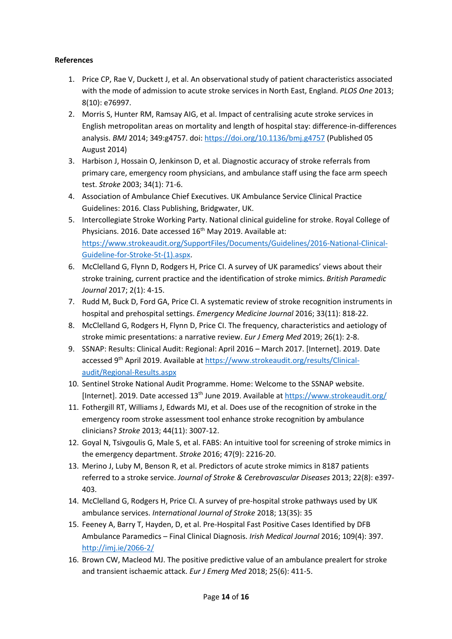# **References**

- 1. Price CP, Rae V, Duckett J, et al. An observational study of patient characteristics associated with the mode of admission to acute stroke services in North East, England. *PLOS One* 2013; 8(10): e76997.
- 2. Morris S, Hunter RM, Ramsay AIG, et al. Impact of centralising acute stroke services in English metropolitan areas on mortality and length of hospital stay: difference-in-differences analysis. *BMJ* 2014; 349:g4757. doi: https://doi.org/10.1136/bmj.g4757 (Published 05 August 2014)
- 3. Harbison J, Hossain O, Jenkinson D, et al. Diagnostic accuracy of stroke referrals from primary care, emergency room physicians, and ambulance staff using the face arm speech test. *Stroke* 2003; 34(1): 71-6.
- 4. Association of Ambulance Chief Executives. UK Ambulance Service Clinical Practice Guidelines: 2016. Class Publishing, Bridgwater, UK.
- 5. Intercollegiate Stroke Working Party. National clinical guideline for stroke. Royal College of Physicians. 2016. Date accessed 16<sup>th</sup> May 2019. Available at: https://www.strokeaudit.org/SupportFiles/Documents/Guidelines/2016-National-Clinical-Guideline-for-Stroke-5t-(1).aspx.
- 6. McClelland G, Flynn D, Rodgers H, Price CI. A survey of UK paramedics' views about their stroke training, current practice and the identification of stroke mimics. *British Paramedic Journal* 2017; 2(1): 4-15.
- 7. Rudd M, Buck D, Ford GA, Price CI. A systematic review of stroke recognition instruments in hospital and prehospital settings. *Emergency Medicine Journal* 2016; 33(11): 818-22.
- 8. McClelland G, Rodgers H, Flynn D, Price CI. The frequency, characteristics and aetiology of stroke mimic presentations: a narrative review. *Eur J Emerg Med* 2019; 26(1): 2-8.
- 9. SSNAP: Results: Clinical Audit: Regional: April 2016 March 2017. [Internet]. 2019. Date accessed 9th April 2019. Available at https://www.strokeaudit.org/results/Clinicalaudit/Regional-Results.aspx
- 10. Sentinel Stroke National Audit Programme. Home: Welcome to the SSNAP website. [Internet]. 2019. Date accessed 13<sup>th</sup> June 2019. Available at https://www.strokeaudit.org/
- 11. Fothergill RT, Williams J, Edwards MJ, et al. Does use of the recognition of stroke in the emergency room stroke assessment tool enhance stroke recognition by ambulance clinicians? *Stroke* 2013; 44(11): 3007-12.
- 12. Goyal N, Tsivgoulis G, Male S, et al. FABS: An intuitive tool for screening of stroke mimics in the emergency department. *Stroke* 2016; 47(9): 2216-20.
- 13. Merino J, Luby M, Benson R, et al. Predictors of acute stroke mimics in 8187 patients referred to a stroke service. *Journal of Stroke & Cerebrovascular Diseases* 2013; 22(8): e397- 403.
- 14. McClelland G, Rodgers H, Price CI. A survey of pre-hospital stroke pathways used by UK ambulance services. *International Journal of Stroke* 2018; 13(3S): 35
- 15. Feeney A, Barry T, Hayden, D, et al. Pre-Hospital Fast Positive Cases Identified by DFB Ambulance Paramedics – Final Clinical Diagnosis. *Irish Medical Journal* 2016; 109(4): 397. http://imj.ie/2066-2/
- 16. Brown CW, Macleod MJ. The positive predictive value of an ambulance prealert for stroke and transient ischaemic attack. *Eur J Emerg Med* 2018; 25(6): 411-5.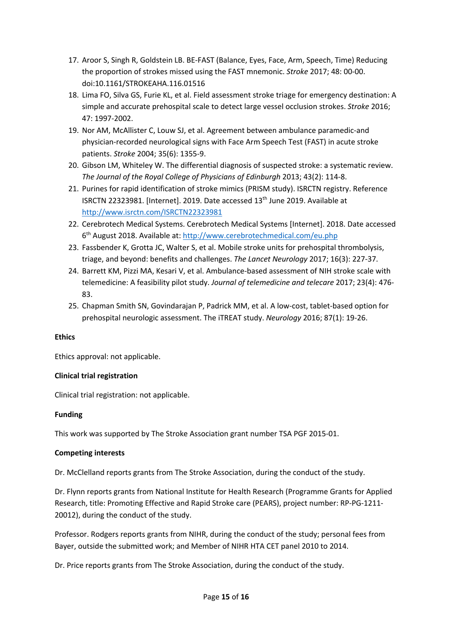- 17. Aroor S, Singh R, Goldstein LB. BE-FAST (Balance, Eyes, Face, Arm, Speech, Time) Reducing the proportion of strokes missed using the FAST mnemonic. *Stroke* 2017; 48: 00-00. doi:10.1161/STROKEAHA.116.01516
- 18. Lima FO, Silva GS, Furie KL, et al. Field assessment stroke triage for emergency destination: A simple and accurate prehospital scale to detect large vessel occlusion strokes. *Stroke* 2016; 47: 1997-2002.
- 19. Nor AM, McAllister C, Louw SJ, et al. Agreement between ambulance paramedic-and physician-recorded neurological signs with Face Arm Speech Test (FAST) in acute stroke patients. *Stroke* 2004; 35(6): 1355-9.
- 20. Gibson LM, Whiteley W. The differential diagnosis of suspected stroke: a systematic review. *The Journal of the Royal College of Physicians of Edinburgh* 2013; 43(2): 114-8.
- 21. Purines for rapid identification of stroke mimics (PRISM study). ISRCTN registry. Reference ISRCTN 22323981. [Internet]. 2019. Date accessed 13th June 2019. Available at http://www.isrctn.com/ISRCTN22323981
- 22. Cerebrotech Medical Systems. Cerebrotech Medical Systems [Internet]. 2018. Date accessed 6th August 2018. Available at: http://www.cerebrotechmedical.com/eu.php
- 23. Fassbender K, Grotta JC, Walter S, et al. Mobile stroke units for prehospital thrombolysis, triage, and beyond: benefits and challenges. *The Lancet Neurology* 2017; 16(3): 227-37.
- 24. Barrett KM, Pizzi MA, Kesari V, et al. Ambulance-based assessment of NIH stroke scale with telemedicine: A feasibility pilot study. *Journal of telemedicine and telecare* 2017; 23(4): 476- 83.
- 25. Chapman Smith SN, Govindarajan P, Padrick MM, et al. A low-cost, tablet-based option for prehospital neurologic assessment. The iTREAT study. *Neurology* 2016; 87(1): 19-26.

## **Ethics**

Ethics approval: not applicable.

## **Clinical trial registration**

Clinical trial registration: not applicable.

#### **Funding**

This work was supported by The Stroke Association grant number TSA PGF 2015-01.

#### **Competing interests**

Dr. McClelland reports grants from The Stroke Association, during the conduct of the study.

Dr. Flynn reports grants from National Institute for Health Research (Programme Grants for Applied Research, title: Promoting Effective and Rapid Stroke care (PEARS), project number: RP-PG-1211- 20012), during the conduct of the study.

Professor. Rodgers reports grants from NIHR, during the conduct of the study; personal fees from Bayer, outside the submitted work; and Member of NIHR HTA CET panel 2010 to 2014.

Dr. Price reports grants from The Stroke Association, during the conduct of the study.